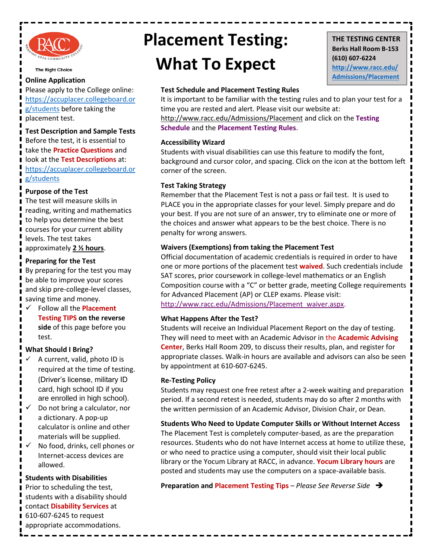

The Right Choice

#### **Online Application**

Please apply to the College online: [https://accuplacer.collegeboard.or](https://accuplacer.collegeboard.org/students) [g/students](https://accuplacer.collegeboard.org/students) before taking the placement test.

**Test Description and Sample Tests** Before the test, it is essential to take the **[Practice Questions](https://secure-media.collegeboard.org/digitalServices/pdf/accuplacer/accuplacer-sample-questions-for-students.pdf)** and look at the **[Test Descriptions](https://accuplacer.collegeboard.org/students/accuplacer-tests)** at: [https://accuplacer.collegeboard.or](https://accuplacer.collegeboard.org/students) [g/students](https://accuplacer.collegeboard.org/students)

# **Purpose of the Test**

The test will measure skills in reading, writing and mathematics to help you determine the best courses for your current ability levels. The test takes approximately **2 ½ hours**.

# **Preparing for the Test**

By preparing for the test you may be able to improve your scores and skip pre-college-level classes, saving time and money.

 Follow all the **[Placement](http://www.racc.edu/Admissions/Placement/expectations.aspx)  [Testing TIPS](http://www.racc.edu/Admissions/Placement/expectations.aspx) on the reverse side** of this page before you test.

# **What Should I Bring?**

- A current, valid, photo ID is required at the time of testing. (Driver's license, military ID card, high school ID if you are enrolled in high school).
- Do not bring a calculator, nor a dictionary. A pop-up calculator is online and other materials will be supplied.
- No food, drinks, cell phones or Internet-access devices are allowed.

#### **Students with Disabilities**

Prior to scheduling the test, students with a disability should contact **[Disability Services](http://www.racc.edu/StudentLife/Services/DisabilityServices/default.aspx)** at 610-607-6245 to request appropriate accommodations.

# **Placement Testing: What To Expect**

# **THE TESTING CENTER Berks Hall Room B-153 (610) 607-6224 [http://www.racc.edu/](http://www.racc.edu/Admissions/Placement/) [Admissions/Placement](http://www.racc.edu/Admissions/Placement/)**

**[/](http://www.racc.edu/Admissions/Placement/)**

# **Test Schedule and Placement Testing Rules**

It is important to be familiar with the testing rules and to plan your test for a time you are rested and alert. Please visit our website at: <http://www.racc.edu/Admissions/Placement> and click on the **Testing Schedule** and the **Placement Testing Rules**.

#### **Accessibility Wizard**

Students with visual disabilities can use this feature to modify the font, background and cursor color, and spacing. Click on the icon at the bottom left corner of the screen.

## **Test Taking Strategy**

Remember that the Placement Test is not a pass or fail test. It is used to PLACE you in the appropriate classes for your level. Simply prepare and do your best. If you are not sure of an answer, try to eliminate one or more of the choices and answer what appears to be the best choice. There is no penalty for wrong answers.

### **Waivers (Exemptions) from taking the Placement Test**

Official documentation of academic credentials is required in order to have one or more portions of the placement test **[waived](http://www.racc.edu/Admissions/Placement/placement_waiver.aspx)**. Such credentials include SAT scores, prior coursework in college-level mathematics or an English Composition course with a "C" or better grade, meeting College requirements for Advanced Placement (AP) or CLEP exams. Please visit: [http://www.racc.edu/Admissions/Placement\\_waiver.aspx.](http://www.racc.edu/Admissions/Placement_waiver.aspx)

#### **What Happens After the Test?**

Students will receive an Individual Placement Report on the day of testing. They will need to meet with an Academic Advisor in the **[Academic Advising](http://www.racc.edu/Academics/Advising/default.aspx)  [Center](http://www.racc.edu/Academics/Advising/default.aspx)**, Berks Hall Room 209, to discuss their results, plan, and register for appropriate classes. Walk-in hours are available and advisors can also be seen by appointment at 610-607-6245.

#### **Re-Testing Policy**

Students may request one free retest after a 2-week waiting and preparation period. If a second retest is needed, students may do so after 2 months with the written permission of an Academic Advisor, Division Chair, or Dean.

**Students Who Need to Update Computer Skills or Without Internet Access**  The Placement Test is completely computer-based, as are the preparation resources. Students who do not have Internet access at home to utilize these, or who need to practice using a computer, should visit their local public library or the Yocum Library at RACC, in advance. **[Yocum Library hours](http://www.racc.edu/Yocum/?subject=Library%20Hours)** are posted and students may use the computers on a space-available basis.

**Preparation and [Placement Testing Tips](http://www.racc.edu/Admissions/Placement/expectations.aspx)** – *Please See Reverse Side*